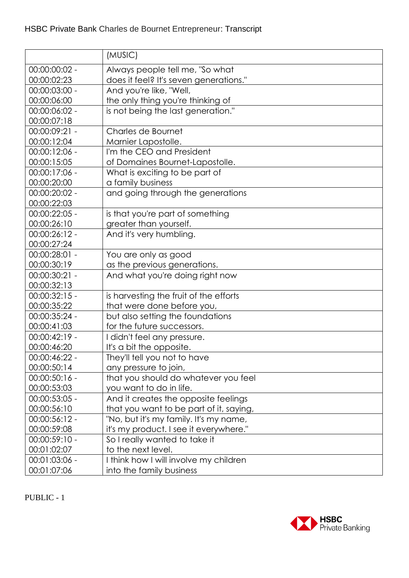|                 | (MUSIC)                                 |
|-----------------|-----------------------------------------|
| 00:00:00:02 -   | Always people tell me, "So what         |
| 00:00:02:23     | does it feel? It's seven generations."  |
| 00:00:03:00 -   | And you're like, "Well,                 |
| 00:00:06:00     | the only thing you're thinking of       |
| 00:00:06:02 -   | is not being the last generation."      |
| 00:00:07:18     |                                         |
| 00:00:09:21 -   | Charles de Bournet                      |
| 00:00:12:04     | Marnier Lapostolle.                     |
| $00:00:12:06 -$ | I'm the CEO and President               |
| 00:00:15:05     | of Domaines Bournet-Lapostolle.         |
| 00:00:17:06 -   | What is exciting to be part of          |
| 00:00:20:00     | a family business                       |
| 00:00:20:02 -   | and going through the generations       |
| 00:00:22:03     |                                         |
| $00:00:22:05 -$ | is that you're part of something        |
| 00:00:26:10     | greater than yourself.                  |
| $00:00:26:12 -$ | And it's very humbling.                 |
| 00:00:27:24     |                                         |
| 00:00:28:01 -   | You are only as good                    |
| 00:00:30:19     | as the previous generations.            |
| 00:00:30:21 -   | And what you're doing right now         |
| 00:00:32:13     |                                         |
| $00:00:32:15 -$ | is harvesting the fruit of the efforts  |
| 00:00:35:22     | that were done before you,              |
| 00:00:35:24 -   | but also setting the foundations        |
| 00:00:41:03     | for the future successors.              |
| $00:00:42:19 -$ | I didn't feel any pressure.             |
| 00:00:46:20     | It's a bit the opposite.                |
| 00:00:46:22 -   | They'll tell you not to have            |
| 00:00:50:14     | any pressure to join,                   |
| $00:00:50:16 -$ | that you should do whatever you feel    |
| 00:00:53:03     | you want to do in life.                 |
| 00:00:53:05 -   | And it creates the opposite feelings    |
| 00:00:56:10     | that you want to be part of it, saying, |
| 00:00:56:12 -   | "No, but it's my family. It's my name,  |
| 00:00:59:08     | it's my product. I see it everywhere."  |
| $00:00:59:10 -$ | So I really wanted to take it           |
| 00:01:02:07     | to the next level.                      |
| $00:01:03:06 -$ | I think how I will involve my children  |
| 00:01:07:06     | into the family business                |

PUBLIC - 1